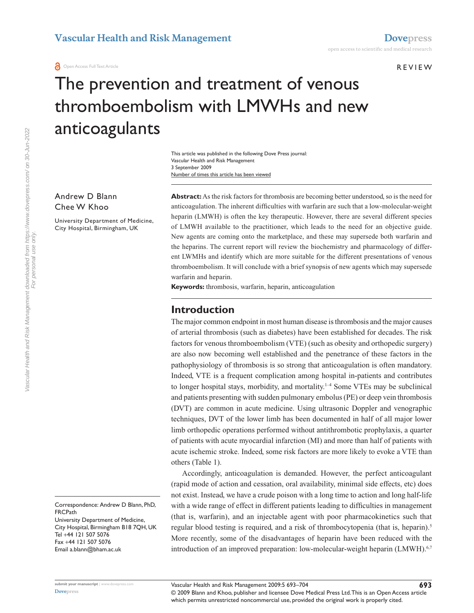**O** Open Access Full Text Article

#### r e v i e w

# The prevention and treatment of venous thromboembolism with LMWHs and new anticoagulants

Number of times this article has been viewed This article was published in the following Dove Press journal: Vascular Health and Risk Management 3 September 2009

Andrew D Blann Chee W Khoo

University Department of Medicine, City Hospital, Birmingham, UK

**Abstract:** As the risk factors for thrombosis are becoming better understood, so is the need for anticoagulation. The inherent difficulties with warfarin are such that a low-molecular-weight heparin (LMWH) is often the key therapeutic. However, there are several different species of LMWH available to the practitioner, which leads to the need for an objective guide. New agents are coming onto the marketplace, and these may supersede both warfarin and the heparins. The current report will review the biochemistry and pharmacology of different LWMHs and identify which are more suitable for the different presentations of venous thromboembolism. It will conclude with a brief synopsis of new agents which may supersede warfarin and heparin.

**Keywords:** thrombosis, warfarin, heparin, anticoagulation

# **Introduction**

The major common endpoint in most human disease is thrombosis and the major causes of arterial thrombosis (such as diabetes) have been established for decades. The risk factors for venous thromboembolism (VTE) (such as obesity and orthopedic surgery) are also now becoming well established and the penetrance of these factors in the pathophysiology of thrombosis is so strong that anticoagulation is often mandatory. Indeed, VTE is a frequent complication among hospital in-patients and contributes to longer hospital stays, morbidity, and mortality.1–4 Some VTEs may be subclinical and patients presenting with sudden pulmonary embolus (PE) or deep vein thrombosis (DVT) are common in acute medicine. Using ultrasonic Doppler and venographic techniques, DVT of the lower limb has been documented in half of all major lower limb orthopedic operations performed without antithrombotic prophylaxis, a quarter of patients with acute myocardial infarction (MI) and more than half of patients with acute ischemic stroke. Indeed, some risk factors are more likely to evoke a VTE than others (Table 1).

Accordingly, anticoagulation is demanded. However, the perfect anticoagulant (rapid mode of action and cessation, oral availability, minimal side effects, etc) does not exist. Instead, we have a crude poison with a long time to action and long half-life with a wide range of effect in different patients leading to difficulties in management (that is, warfarin), and an injectable agent with poor pharmacokinetics such that regular blood testing is required, and a risk of thrombocytopenia (that is, heparin).<sup>5</sup> More recently, some of the disadvantages of heparin have been reduced with the introduction of an improved preparation: low-molecular-weight heparin (LMWH).<sup>6,7</sup>

Correspondence: Andrew D Blann, PhD, **FRCPath** University Department of Medicine, City Hospital, Birmingham B18 7QH, UK Tel +44 121 507 5076 Fax +44 121 507 5076 Email a.blann@bham.ac.uk

For personal use only.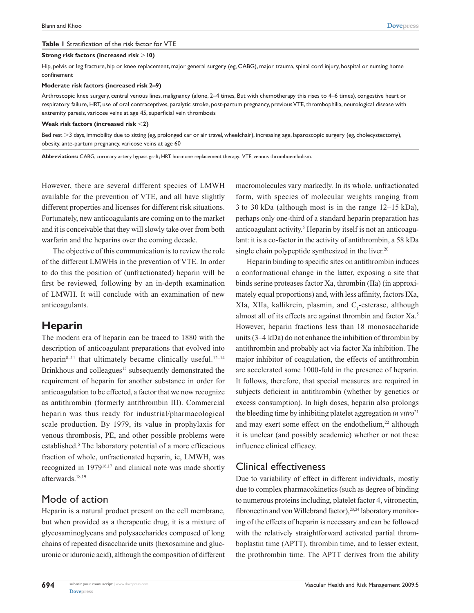#### **Table 1** Stratification of the risk factor for VTE

#### **Strong risk factors (increased risk 10)**

Hip, pelvis or leg fracture, hip or knee replacement, major general surgery (eg, CABG), major trauma, spinal cord injury, hospital or nursing home confinement

#### **Moderate risk factors (increased risk 2–9)**

Arthroscopic knee surgery, central venous lines, malignancy (alone, 2–4 times, But with chemotherapy this rises to 4–6 times), congestive heart or respiratory failure, HRT, use of oral contraceptives, paralytic stroke, post-partum pregnancy, previous VTE, thrombophilia, neurological disease with extremity paresis, varicose veins at age 45, superficial vein thrombosis

#### **Weak risk factors (increased risk 2)**

Bed rest >3 days, immobility due to sitting (eg, prolonged car or air travel, wheelchair), increasing age, laparoscopic surgery (eg, cholecystectomy), obesity, ante-partum pregnancy, varicose veins at age 60

**Abbreviations:** CABG, coronary artery bypass graft; HRT, hormone replacement therapy; VTE, venous thromboembolism.

However, there are several different species of LMWH available for the prevention of VTE, and all have slightly different properties and licenses for different risk situations. Fortunately, new anticoagulants are coming on to the market and it is conceivable that they will slowly take over from both warfarin and the heparins over the coming decade.

The objective of this communication is to review the role of the different LMWHs in the prevention of VTE. In order to do this the position of (unfractionated) heparin will be first be reviewed, following by an in-depth examination of LMWH. It will conclude with an examination of new anticoagulants.

### **Heparin**

The modern era of heparin can be traced to 1880 with the description of anticoagulant preparations that evolved into heparin $8-11$  that ultimately became clinically useful.<sup>12-14</sup> Brinkhous and colleagues<sup>15</sup> subsequently demonstrated the requirement of heparin for another substance in order for anticoagulation to be effected, a factor that we now recognize as antithrombin (formerly antithrombin III). Commercial heparin was thus ready for industrial/pharmacological scale production. By 1979, its value in prophylaxis for venous thrombosis, PE, and other possible problems were established.<sup>5</sup> The laboratory potential of a more efficacious fraction of whole, unfractionated heparin, ie, LMWH, was recognized in 197916,17 and clinical note was made shortly afterwards.18,19

### Mode of action

Heparin is a natural product present on the cell membrane, but when provided as a therapeutic drug, it is a mixture of glycosaminoglycans and polysaccharides composed of long chains of repeated disaccharide units (hexosamine and glucuronic or iduronic acid), although the composition of different macromolecules vary markedly. In its whole, unfractionated form, with species of molecular weights ranging from 3 to 30 kDa (although most is in the range 12–15 kDa), perhaps only one-third of a standard heparin preparation has anticoagulant activity.<sup>5</sup> Heparin by itself is not an anticoagulant: it is a co-factor in the activity of antithrombin, a 58 kDa single chain polypeptide synthesized in the liver.<sup>20</sup>

Heparin binding to specific sites on antithrombin induces a conformational change in the latter, exposing a site that binds serine proteases factor Xa, thrombin (IIa) (in approximately equal proportions) and, with less affinity, factors IXa, XIa, XIIa, kallikrein, plasmin, and C<sub>1</sub>-esterase, although almost all of its effects are against thrombin and factor Xa.5 However, heparin fractions less than 18 monosaccharide units (3–4 kDa) do not enhance the inhibition of thrombin by antithrombin and probably act via factor Xa inhibition. The major inhibitor of coagulation, the effects of antithrombin are accelerated some 1000-fold in the presence of heparin. It follows, therefore, that special measures are required in subjects deficient in antithrombin (whether by genetics or excess consumption). In high doses, heparin also prolongs the bleeding time by inhibiting platelet aggregation *in vitro*<sup>21</sup> and may exert some effect on the endothelium, $22$  although it is unclear (and possibly academic) whether or not these influence clinical efficacy.

### Clinical effectiveness

Due to variability of effect in different individuals, mostly due to complex pharmacokinetics (such as degree of binding to numerous proteins including, platelet factor 4, vitronectin, fibronectin and von Willebrand factor),<sup>23,24</sup> laboratory monitoring of the effects of heparin is necessary and can be followed with the relatively straightforward activated partial thromboplastin time (APTT), thrombin time, and to lesser extent, the prothrombin time. The APTT derives from the ability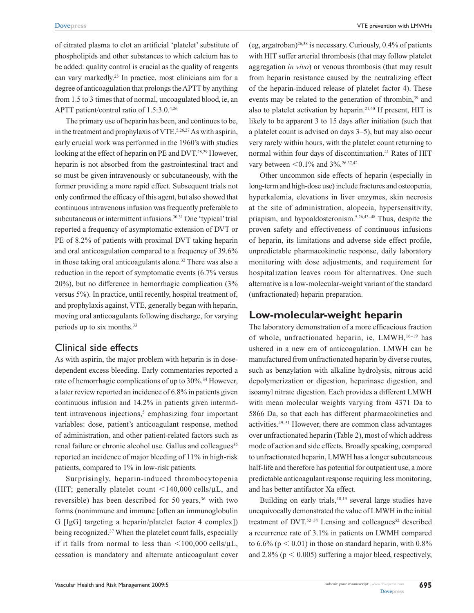**[Dovepress](www.dovepress.com)** VTE prevention with LMWHs

of citrated plasma to clot an artificial 'platelet' substitute of phospholipids and other substances to which calcium has to be added: quality control is crucial as the quality of reagents can vary markedly.25 In practice, most clinicians aim for a degree of anticoagulation that prolongs the APTT by anything from 1.5 to 3 times that of normal, uncoagulated blood, ie, an APTT patient/control ratio of 1.5:3.0.4,26

The primary use of heparin has been, and continues to be, in the treatment and prophylaxis of VTE.<sup>5,26,27</sup> As with aspirin, early crucial work was performed in the 1960's with studies looking at the effect of heparin on PE and DVT.<sup>28,29</sup> However, heparin is not absorbed from the gastrointestinal tract and so must be given intravenously or subcutaneously, with the former providing a more rapid effect. Subsequent trials not only confirmed the efficacy of this agent, but also showed that continuous intravenous infusion was frequently preferable to subcutaneous or intermittent infusions.30,31 One 'typical' trial reported a frequency of asymptomatic extension of DVT or PE of 8.2% of patients with proximal DVT taking heparin and oral anticoagulation compared to a frequency of 39.6% in those taking oral anticoagulants alone.<sup>32</sup> There was also a reduction in the report of symptomatic events (6.7% versus 20%), but no difference in hemorrhagic complication (3% versus 5%). In practice, until recently, hospital treatment of, and prophylaxis against, VTE, generally began with heparin, moving oral anticoagulants following discharge, for varying periods up to six months.33

# Clinical side effects

As with aspirin, the major problem with heparin is in dosedependent excess bleeding. Early commentaries reported a rate of hemorrhagic complications of up to 30%.<sup>34</sup> However, a later review reported an incidence of 6.8% in patients given continuous infusion and 14.2% in patients given intermittent intravenous injections,<sup>5</sup> emphasizing four important variables: dose, patient's anticoagulant response, method of administration, and other patient-related factors such as renal failure or chronic alcohol use. Gallus and colleagues<sup>35</sup> reported an incidence of major bleeding of 11% in high-risk patients, compared to 1% in low-risk patients.

Surprisingly, heparin-induced thrombocytopenia (HIT; generally platelet count  $\langle 140,000 \text{ cells/}\mu L, \text{ and}$ reversible) has been described for 50 years,<sup>36</sup> with two forms (nonimmune and immune [often an immunoglobulin G [IgG] targeting a heparin/platelet factor 4 complex]) being recognized.<sup>37</sup> When the platelet count falls, especially if it falls from normal to less than  $\langle 100,000 \text{ cells/µL}$ , cessation is mandatory and alternate anticoagulant cover (eg, argatroban)<sup>26,38</sup> is necessary. Curiously,  $0.4\%$  of patients with HIT suffer arterial thrombosis (that may follow platelet aggregation *in vivo*) or venous thrombosis (that may result from heparin resistance caused by the neutralizing effect of the heparin-induced release of platelet factor 4). These events may be related to the generation of thrombin,<sup>39</sup> and also to platelet activation by heparin.<sup>21,40</sup> If present, HIT is likely to be apparent 3 to 15 days after initiation (such that a platelet count is advised on days 3–5), but may also occur very rarely within hours, with the platelet count returning to normal within four days of discontinuation.<sup>41</sup> Rates of HIT vary between  $<$  0.1% and 3%.<sup>26,37,42</sup>

Other uncommon side effects of heparin (especially in long-term and high-dose use) include fractures and osteopenia, hyperkalemia, elevations in liver enzymes, skin necrosis at the site of administration, alopecia, hypersensitivity, priapism, and hypoaldosteronism.5,26,43–48 Thus, despite the proven safety and effectiveness of continuous infusions of heparin, its limitations and adverse side effect profile, unpredictable pharmacokinetic response, daily laboratory monitoring with dose adjustments, and requirement for hospitalization leaves room for alternatives. One such alternative is a low-molecular-weight variant of the standard (unfractionated) heparin preparation.

# **Low-molecular-weight heparin**

The laboratory demonstration of a more efficacious fraction of whole, unfractionated heparin, ie, LMWH,<sup>16-19</sup> has ushered in a new era of anticoagulation. LMWH can be manufactured from unfractionated heparin by diverse routes, such as benzylation with alkaline hydrolysis, nitrous acid depolymerization or digestion, heparinase digestion, and isoamyl nitrate digestion. Each provides a different LMWH with mean molecular weights varying from 4371 Da to 5866 Da, so that each has different pharmacokinetics and activities.49–51 However, there are common class advantages over unfractionated heparin (Table 2), most of which address mode of action and side effects. Broadly speaking, compared to unfractionated heparin, LMWH has a longer subcutaneous half-life and therefore has potential for outpatient use, a more predictable anticoagulant response requiring less monitoring, and has better antifactor Xa effect.

Building on early trials, $18,19$  several large studies have unequivocally demonstrated the value of LMWH in the initial treatment of DVT. $52-54$  Lensing and colleagues<sup>52</sup> described a recurrence rate of 3.1% in patients on LWMH compared to 6.6% ( $p < 0.01$ ) in those on standard heparin, with 0.8% and  $2.8\%$  ( $p < 0.005$ ) suffering a major bleed, respectively,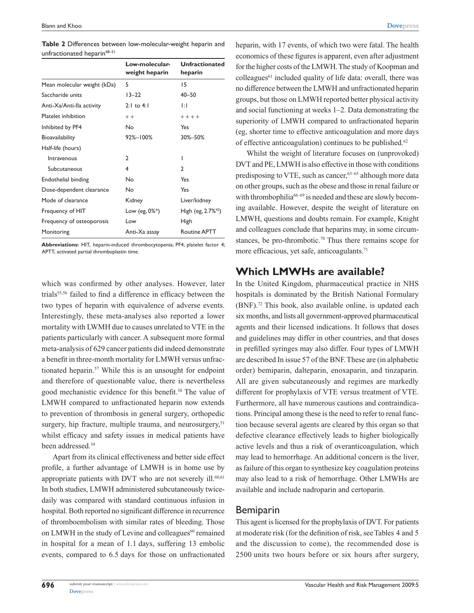|                                         | Table 2 Differences between low-molecular-weight heparin and |
|-----------------------------------------|--------------------------------------------------------------|
| unfractionated heparin <sup>48-51</sup> |                                                              |

|                             | Low-molecular-<br>weight heparin | <b>Unfractionated</b><br>heparin  |
|-----------------------------|----------------------------------|-----------------------------------|
| Mean molecular weight (kDa) | 5                                | 15                                |
| Saccharide units            | $13 - 22$                        | $40 - 50$                         |
| Anti-Xa/Anti-Ila activity   | 2:1 to 4:1                       | ΤH                                |
| Platelet inhibition         | $++$                             | $+ + + +$                         |
| Inhibited by PF4            | No                               | Yes                               |
| Bioavailability             | 92%-100%                         | 30%-50%                           |
| Half-life (hours)           |                                  |                                   |
| Intravenous                 | 2                                | ı                                 |
| Subcutaneous                | 4                                | 2                                 |
| Endothelial binding         | No                               | Yes                               |
| Dose-dependent clearance    | No                               | Yes                               |
| Mode of clearance           | Kidney                           | Liver/kidney                      |
| Frequency of HIT            | Low (eg, $0\%^*$ )               | High (eg, $2.7\%$ <sup>42</sup> ) |
| Frequency of osteoporosis   | Low                              | High                              |
| Monitoring                  | Anti-Xa assay                    | <b>Routine APTT</b>               |

**Abbreviations:** HIT, heparin-induced thrombocytopenia; PF4, platelet factor 4; APTT, activated partial thromboplastin time.

which was confirmed by other analyses. However, later trials<sup>55,56</sup> failed to find a difference in efficacy between the two types of heparin with equivalence of adverse events. Interestingly, these meta-analyses also reported a lower mortality with LWMH due to causes unrelated to VTE in the patients particularly with cancer. A subsequent more formal meta-analysis of 629 cancer patients did indeed demonstrate a benefit in three-month mortality for LMWH versus unfractionated heparin.57 While this is an unsought for endpoint and therefore of questionable value, there is nevertheless good mechanistic evidence for this benefit.<sup>58</sup> The value of LMWH compared to unfractionated heparin now extends to prevention of thrombosis in general surgery, orthopedic surgery, hip fracture, multiple trauma, and neurosurgery,<sup>51</sup> whilst efficacy and safety issues in medical patients have been addressed.<sup>59</sup>

Apart from its clinical effectiveness and better side effect profile, a further advantage of LMWH is in home use by appropriate patients with DVT who are not severely ill.<sup>60,61</sup> In both studies, LMWH administered subcutaneously twicedaily was compared with standard continuous infusion in hospital. Both reported no significant difference in recurrence of thromboembolism with similar rates of bleeding. Those on LMWH in the study of Levine and colleagues<sup>60</sup> remained in hospital for a mean of 1.1 days, suffering 13 embolic events, compared to 6.5 days for those on unfractionated heparin, with 17 events, of which two were fatal. The health economics of these figures is apparent, even after adjustment for the higher costs of the LMWH. The study of Koopman and  $\text{colleagues}^{61}$  included quality of life data: overall, there was no difference between the LMWH and unfractionated heparin groups, but those on LMWH reported better physical activity and social functioning at weeks 1–2. Data demonstrating the superiority of LMWH compared to unfractionated heparin (eg, shorter time to effective anticoagulation and more days of effective anticoagulation) continues to be published.<sup>62</sup>

Whilst the weight of literature focuses on (unprovoked) DVT and PE, LMWH is also effective in those with conditions predisposing to VTE, such as cancer,  $63-65$  although more data on other groups, such as the obese and those in renal failure or with thrombophilia<sup>66–69</sup> is needed and these are slowly becoming available. However, despite the weight of literature on LMWH, questions and doubts remain. For example, Knight and colleagues conclude that heparins may, in some circumstances, be pro-thrombotic.<sup>70</sup> Thus there remains scope for more efficacious, yet safe, anticoagulants.<sup>71</sup>

# **Which LMWHs are available?**

In the United Kingdom, pharmaceutical practice in NHS hospitals is dominated by the British National Formulary (BNF).72 This book, also available online, is updated each six months, and lists all government-approved pharmaceutical agents and their licensed indications. It follows that doses and guidelines may differ in other countries, and that doses in prefilled syringes may also differ. Four types of LMWH are described In issue 57 of the BNF. These are (in alphabetic order) bemiparin, dalteparin, enoxaparin, and tinzaparin. All are given subcutaneously and regimes are markedly different for prophylaxis of VTE versus treatment of VTE. Furthermore, all have numerous cautions and contraindications. Principal among these is the need to refer to renal function because several agents are cleared by this organ so that defective clearance effectively leads to higher biologically active levels and thus a risk of overanticoagulation, which may lead to hemorrhage. An additional concern is the liver, as failure of this organ to synthesize key coagulation proteins may also lead to a risk of hemorrhage. Other LMWHs are available and include nadroparin and certoparin.

#### Bemiparin

This agent is licensed for the prophylaxis of DVT. For patients at moderate risk (for the definition of risk, see Tables 4 and 5 and the discussion to come), the recommended dose is 2500 units two hours before or six hours after surgery,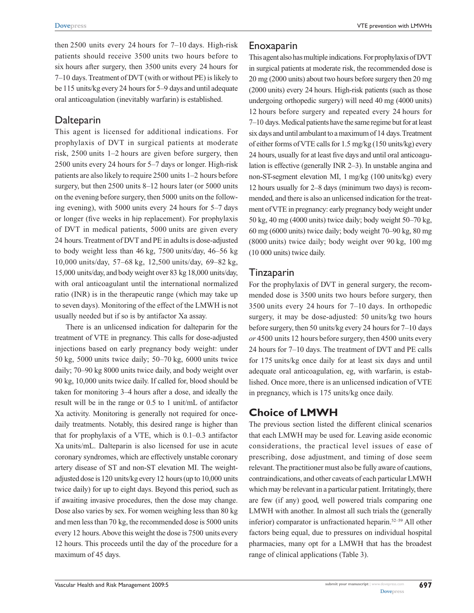then 2500 units every 24 hours for 7–10 days. High-risk patients should receive 3500 units two hours before to six hours after surgery, then 3500 units every 24 hours for 7–10 days. Treatment of DVT (with or without PE) is likely to be 115 units/kg every 24 hours for 5–9 days and until adequate oral anticoagulation (inevitably warfarin) is established.

# Dalteparin

This agent is licensed for additional indications. For prophylaxis of DVT in surgical patients at moderate risk, 2500 units 1–2 hours are given before surgery, then 2500 units every 24 hours for 5–7 days or longer. High-risk patients are also likely to require 2500 units 1–2 hours before surgery, but then 2500 units 8–12 hours later (or 5000 units on the evening before surgery, then 5000 units on the following evening), with 5000 units every 24 hours for 5–7 days or longer (five weeks in hip replacement). For prophylaxis of DVT in medical patients, 5000 units are given every 24 hours. Treatment of DVT and PE in adults is dose-adjusted to body weight less than 46 kg, 7500 units/day, 46–56 kg 10,000 units/day, 57–68 kg, 12,500 units/day, 69–82 kg, 15,000 units/day, and body weight over 83 kg 18,000 units/day, with oral anticoagulant until the international normalized ratio (INR) is in the therapeutic range (which may take up to seven days). Monitoring of the effect of the LMWH is not usually needed but if so is by antifactor Xa assay.

There is an unlicensed indication for dalteparin for the treatment of VTE in pregnancy. This calls for dose-adjusted injections based on early pregnancy body weight: under 50 kg, 5000 units twice daily; 50–70 kg, 6000 units twice daily; 70–90 kg 8000 units twice daily, and body weight over 90 kg, 10,000 units twice daily. If called for, blood should be taken for monitoring 3–4 hours after a dose, and ideally the result will be in the range or 0.5 to 1 unit/mL of antifactor Xa activity. Monitoring is generally not required for oncedaily treatments. Notably, this desired range is higher than that for prophylaxis of a VTE, which is 0.1–0.3 antifactor Xa units/mL. Dalteparin is also licensed for use in acute coronary syndromes, which are effectively unstable coronary artery disease of ST and non-ST elevation MI. The weightadjusted dose is 120 units/kg every 12 hours (up to 10,000 units twice daily) for up to eight days. Beyond this period, such as if awaiting invasive procedures, then the dose may change. Dose also varies by sex. For women weighing less than 80 kg and men less than 70 kg, the recommended dose is 5000 units every 12 hours. Above this weight the dose is 7500 units every 12 hours. This proceeds until the day of the procedure for a maximum of 45 days.

# Enoxaparin

This agent also has multiple indications. For prophylaxis of DVT in surgical patients at moderate risk, the recommended dose is 20 mg (2000 units) about two hours before surgery then 20 mg (2000 units) every 24 hours. High-risk patients (such as those undergoing orthopedic surgery) will need 40 mg (4000 units) 12 hours before surgery and repeated every 24 hours for 7–10 days. Medical patients have the same regime but for at least six days and until ambulant to a maximum of 14 days. Treatment of either forms of VTE calls for 1.5 mg/kg (150 units/kg) every 24 hours, usually for at least five days and until oral anticoagulation is effective (generally INR 2–3). In unstable angina and non-ST-segment elevation MI, 1 mg/kg (100 units/kg) every 12 hours usually for 2–8 days (minimum two days) is recommended, and there is also an unlicensed indication for the treatment of VTE in pregnancy: early pregnancy body weight under 50 kg, 40 mg (4000 units) twice daily; body weight 50–70 kg, 60 mg (6000 units) twice daily; body weight 70–90 kg, 80 mg (8000 units) twice daily; body weight over 90 kg, 100 mg (10 000 units) twice daily.

# Tinzaparin

For the prophylaxis of DVT in general surgery, the recommended dose is 3500 units two hours before surgery, then 3500 units every 24 hours for 7–10 days. In orthopedic surgery, it may be dose-adjusted: 50 units/kg two hours before surgery, then 50 units/kg every 24 hours for 7–10 days *or* 4500 units 12 hours before surgery, then 4500 units every 24 hours for 7–10 days. The treatment of DVT and PE calls for 175 units/kg once daily for at least six days and until adequate oral anticoagulation, eg, with warfarin, is established. Once more, there is an unlicensed indication of VTE in pregnancy, which is 175 units/kg once daily.

# **Choice of LMWH**

The previous section listed the different clinical scenarios that each LMWH may be used for. Leaving aside economic considerations, the practical level issues of ease of prescribing, dose adjustment, and timing of dose seem relevant. The practitioner must also be fully aware of cautions, contraindications, and other caveats of each particular LMWH which may be relevant in a particular patient. Irritatingly, there are few (if any) good, well powered trials comparing one LMWH with another. In almost all such trials the (generally inferior) comparator is unfractionated heparin.52–59 All other factors being equal, due to pressures on individual hospital pharmacies, many opt for a LMWH that has the broadest range of clinical applications (Table 3).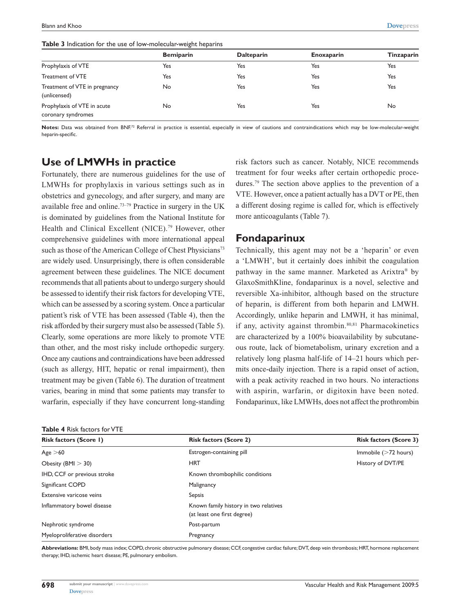**Table 3** Indication for the use of low-molecular-weight heparins

|                                                   | <b>Bemiparin</b> | <b>Dalteparin</b> | <b>Enoxaparin</b> | <b>Tinzaparin</b> |
|---------------------------------------------------|------------------|-------------------|-------------------|-------------------|
| Prophylaxis of VTE                                | Yes              | Yes               | Yes               | Yes               |
| Treatment of VTE                                  | Yes              | Yes               | Yes               | Yes               |
| Treatment of VTE in pregnancy<br>(unlicensed)     | No               | Yes               | Yes               | Yes               |
| Prophylaxis of VTE in acute<br>coronary syndromes | No               | Yes               | Yes               | No                |

Notes: Data was obtained from BNF.<sup>72</sup> Referral in practice is essential, especially in view of cautions and contraindications which may be low-molecular-weight heparin-specific.

# **Use of LMWHs in practice**

Fortunately, there are numerous guidelines for the use of LMWHs for prophylaxis in various settings such as in obstetrics and gynecology, and after surgery, and many are available free and online.73–79 Practice in surgery in the UK is dominated by guidelines from the National Institute for Health and Clinical Excellent (NICE).<sup>79</sup> However, other comprehensive guidelines with more international appeal such as those of the American College of Chest Physicians<sup>73</sup> are widely used. Unsurprisingly, there is often considerable agreement between these guidelines. The NICE document recommends that all patients about to undergo surgery should be assessed to identify their risk factors for developing VTE, which can be assessed by a scoring system. Once a particular patient's risk of VTE has been assessed (Table 4), then the risk afforded by their surgery must also be assessed (Table 5). Clearly, some operations are more likely to promote VTE than other, and the most risky include orthopedic surgery. Once any cautions and contraindications have been addressed (such as allergy, HIT, hepatic or renal impairment), then treatment may be given (Table 6). The duration of treatment varies, bearing in mind that some patients may transfer to warfarin, especially if they have concurrent long-standing

| <b>Table 4 Risk factors for VTE</b> |  |  |  |  |
|-------------------------------------|--|--|--|--|
|-------------------------------------|--|--|--|--|

risk factors such as cancer. Notably, NICE recommends treatment for four weeks after certain orthopedic procedures.79 The section above applies to the prevention of a VTE. However, once a patient actually has a DVT or PE, then a different dosing regime is called for, which is effectively more anticoagulants (Table 7).

# **Fondaparinux**

Technically, this agent may not be a 'heparin' or even a 'LMWH', but it certainly does inhibit the coagulation pathway in the same manner. Marketed as Arixtra® by GlaxoSmithKline, fondaparinux is a novel, selective and reversible Xa-inhibitor, although based on the structure of heparin, is different from both heparin and LMWH. Accordingly, unlike heparin and LMWH, it has minimal, if any, activity against thrombin.80,81 Pharmacokinetics are characterized by a 100% bioavailability by subcutaneous route, lack of biometabolism, urinary excretion and a relatively long plasma half-life of 14–21 hours which permits once-daily injection. There is a rapid onset of action, with a peak activity reached in two hours. No interactions with aspirin, warfarin, or digitoxin have been noted. Fondaparinux, like LMWHs, does not affect the prothrombin

| <b>Table 4 KISK RECOLORS TO P V LET</b> |                                                                      |                               |  |  |
|-----------------------------------------|----------------------------------------------------------------------|-------------------------------|--|--|
| Risk factors (Score 1)                  | <b>Risk factors (Score 2)</b>                                        | <b>Risk factors (Score 3)</b> |  |  |
| Age > 60                                | Estrogen-containing pill                                             | Immobile $($ >72 hours)       |  |  |
| Obesity (BMI $>$ 30)                    | <b>HRT</b>                                                           | History of DVT/PE             |  |  |
| IHD, CCF or previous stroke             | Known thrombophilic conditions                                       |                               |  |  |
| Significant COPD                        | Malignancy                                                           |                               |  |  |
| Extensive varicose veins                | Sepsis                                                               |                               |  |  |
| Inflammatory bowel disease              | Known family history in two relatives<br>(at least one first degree) |                               |  |  |
| Nephrotic syndrome                      | Post-partum                                                          |                               |  |  |
| Myeloproliferative disorders            | Pregnancy                                                            |                               |  |  |

**Abbreviations:** BMI, body mass index; COPD, chronic obstructive pulmonary disease; CCF, congestive cardiac failure; DVT, deep vein thrombosis; HRT, hormone replacement therapy; IHD, ischemic heart disease; PE, pulmonary embolism.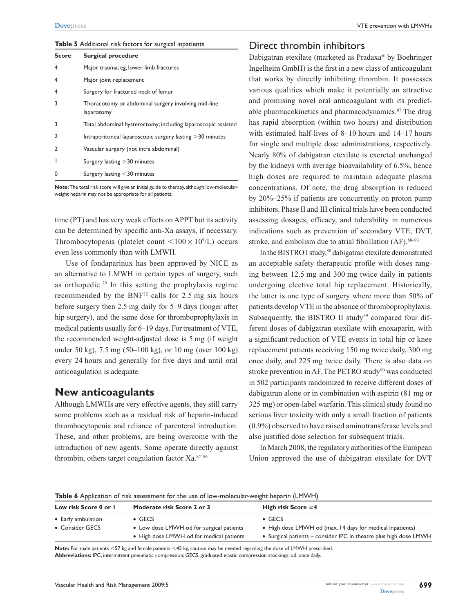**Table 5** Additional risk factors for surgical inpatients

| <b>Score</b> | <b>Surgical procedure</b>                                         |
|--------------|-------------------------------------------------------------------|
| 4            | Major trauma; eg, lower limb fractures                            |
| 4            | Major joint replacement                                           |
| 4            | Surgery for fractured neck of femur                               |
| 3            | Thoracotomy or abdominal surgery involving mid-line<br>laparotomy |
| 3            | Total abdominal hysterectomy; including laparoscopic assisted     |
| 2            | Intraperitoneal laparoscopic surgery lasting $>$ 30 minutes       |
| 2            | Vascular surgery (not intra abdominal)                            |
|              | Surgery lasting $>$ 30 minutes                                    |
| O            | Surgery lasting $<$ 30 minutes                                    |

#### Direct thrombin inhibitors

Dabigatran etexilate (marketed as Pradaxa® by Boehringer Ingelheim GmbH) is the first in a new class of anticoagulant that works by directly inhibiting thrombin. It possesses various qualities which make it potentially an attractive and promising novel oral anticoagulant with its predictable pharmacokinetics and pharmacodynamics.<sup>87</sup> The drug has rapid absorption (within two hours) and distribution with estimated half-lives of 8–10 hours and 14–17 hours for single and multiple dose administrations, respectively. Nearly 80% of dabigatran etexilate is excreted unchanged by the kidneys with average bioavailability of 6.5%, hence high doses are required to maintain adequate plasma concentrations. Of note, the drug absorption is reduced by 20%–25% if patients are concurrently on proton pump inhibitors. Phase II and III clinical trials have been conducted assessing dosages, efficacy, and tolerability in numerous indications such as prevention of secondary VTE, DVT, stroke, and embolism due to atrial fibrillation (AF).<sup>88-93</sup>

In the BISTRO I study,<sup>88</sup> dabigatran etexilate demonstrated an acceptable safety therapeutic profile with doses ranging between 12.5 mg and 300 mg twice daily in patients undergoing elective total hip replacement. Historically, the latter is one type of surgery where more than 50% of patients develop VTE in the absence of thromboprophylaxis. Subsequently, the BISTRO II study<sup>89</sup> compared four different doses of dabigatran etexilate with enoxaparin, with a significant reduction of VTE events in total hip or knee replacement patients receiving 150 mg twice daily, 300 mg once daily, and 225 mg twice daily. There is also data on stroke prevention in AF. The PETRO study<sup>90</sup> was conducted in 502 participants randomized to receive different doses of dabigatran alone or in combination with aspirin (81 mg or 325 mg) or open-label warfarin. This clinical study found no serious liver toxicity with only a small fraction of patients (0.9%) observed to have raised aminotransferase levels and also justified dose selection for subsequent trials.

In March 2008, the regulatory authorities of the European Union approved the use of dabigatran etexilate for DVT

**Note:** The total risk score will give an initial guide to therapy, although low-molecularweight heparin may not be appropriate for all patients.

time (PT) and has very weak effects on APPT but its activity can be determined by specific anti-Xa assays, if necessary. Thrombocytopenia (platelet count  $\langle 100 \times 10^9 \rangle$  occurs even less commonly than with LMWH.

Use of fondaparinux has been approved by NICE as an alternative to LMWH in certain types of surgery, such as orthopedic.79 In this setting the prophylaxis regime recommended by the BNF72 calls for 2.5 mg six hours before surgery then 2.5 mg daily for 5–9 days (longer after hip surgery), and the same dose for thromboprophylaxis in medical patients usually for 6–19 days. For treatment of VTE, the recommended weight-adjusted dose is 5 mg (if weight under 50 kg), 7.5 mg (50–100 kg), or 10 mg (over 100 kg) every 24 hours and generally for five days and until oral anticoagulation is adequate.

# **New anticoagulants**

Although LMWHs are very effective agents, they still carry some problems such as a residual risk of heparin-induced thrombocytopenia and reliance of parenteral introduction. These, and other problems, are being overcome with the introduction of new agents. Some operate directly against thrombin, others target coagulation factor Xa.82–86

**Table 6** Application of risk assessment for the use of low-molecular-weight heparin (LMWH)

| Low risk Score 0 or 1 | Moderate risk Score 2 or 3               | High risk Score $\geq$ 4                                          |
|-----------------------|------------------------------------------|-------------------------------------------------------------------|
| • Early ambulation    | $\bullet$ GECS                           | $\bullet$ GECS                                                    |
| • Consider GECS       | • Low dose LMWH od for surgical patients | • High dose LMWH od (max. 14 days for medical inpatients)         |
|                       | • High dose LMWH od for medical patients | • Surgical patients – consider IPC in theatre plus high dose LMWH |

Note: For male patients <57 kg and female patients <45 kg, caution may be needed regarding the dose of LMWH prescribed. **Abbreviations:** IPC, intermittent pneumatic compression; GECS, graduated elastic compression stockings; od, once daily.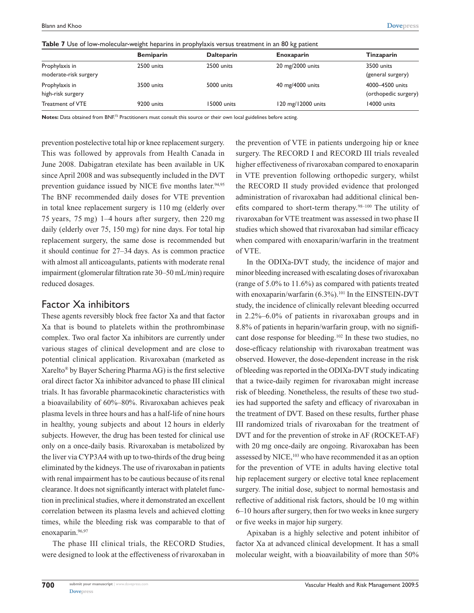|  | Table 7 Use of low-molecular-weight heparins in prophylaxis versus treatment in an 80 kg patient |  |  |  |  |  |  |  |
|--|--------------------------------------------------------------------------------------------------|--|--|--|--|--|--|--|
|--|--------------------------------------------------------------------------------------------------|--|--|--|--|--|--|--|

|                                         | <b>Bemiparin</b> | <b>Dalteparin</b> | <b>Enoxaparin</b>  | Tinzaparin                              |
|-----------------------------------------|------------------|-------------------|--------------------|-----------------------------------------|
| Prophylaxis in<br>moderate-risk surgery | 2500 units       | 2500 units        | 20 mg/2000 units   | 3500 units<br>(general surgery)         |
| Prophylaxis in<br>high-risk surgery     | 3500 units       | 5000 units        | 40 mg/4000 units   | 4000-4500 units<br>(orthopedic surgery) |
| Treatment of VTE                        | 9200 units       | 15000 units       | 120 mg/12000 units | 14000 units                             |

**Notes:** Data obtained from BNF.<sup>72</sup> Practitioners must consult this source or their own local guidelines before acting.

prevention postelective total hip or knee replacement surgery. This was followed by approvals from Health Canada in June 2008. Dabigatran etexilate has been available in UK since April 2008 and was subsequently included in the DVT prevention guidance issued by NICE five months later.<sup>94,95</sup> The BNF recommended daily doses for VTE prevention in total knee replacement surgery is 110 mg (elderly over 75 years, 75 mg) 1–4 hours after surgery, then 220 mg daily (elderly over 75, 150 mg) for nine days. For total hip replacement surgery, the same dose is recommended but it should continue for 27–34 days. As is common practice with almost all anticoagulants, patients with moderate renal impairment (glomerular filtration rate 30–50 mL/min) require reduced dosages.

### Factor Xa inhibitors

These agents reversibly block free factor Xa and that factor Xa that is bound to platelets within the prothrombinase complex. Two oral factor Xa inhibitors are currently under various stages of clinical development and are close to potential clinical application. Rivaroxaban (marketed as Xarelto® by Bayer Schering Pharma AG) is the first selective oral direct factor Xa inhibitor advanced to phase III clinical trials. It has favorable pharmacokinetic characteristics with a bioavailability of 60%–80%. Rivaroxaban achieves peak plasma levels in three hours and has a half-life of nine hours in healthy, young subjects and about 12 hours in elderly subjects. However, the drug has been tested for clinical use only on a once-daily basis. Rivaroxaban is metabolized by the liver via CYP3A4 with up to two-thirds of the drug being eliminated by the kidneys. The use of rivaroxaban in patients with renal impairment has to be cautious because of its renal clearance. It does not significantly interact with platelet function in preclinical studies, where it demonstrated an excellent correlation between its plasma levels and achieved clotting times, while the bleeding risk was comparable to that of enoxaparin.<sup>96,97</sup>

The phase III clinical trials, the RECORD Studies, were designed to look at the effectiveness of rivaroxaban in

the prevention of VTE in patients undergoing hip or knee surgery. The RECORD I and RECORD III trials revealed higher effectiveness of rivaroxaban compared to enoxaparin in VTE prevention following orthopedic surgery, whilst the RECORD II study provided evidence that prolonged administration of rivaroxaban had additional clinical benefits compared to short-term therapy.98–100 The utility of rivaroxaban for VTE treatment was assessed in two phase II studies which showed that rivaroxaban had similar efficacy when compared with enoxaparin/warfarin in the treatment of VTE.

In the ODIXa-DVT study, the incidence of major and minor bleeding increased with escalating doses of rivaroxaban (range of 5.0% to 11.6%) as compared with patients treated with enoxaparin/warfarin (6.3%).<sup>101</sup> In the EINSTEIN-DVT study, the incidence of clinically relevant bleeding occurred in 2.2%–6.0% of patients in rivaroxaban groups and in 8.8% of patients in heparin/warfarin group, with no significant dose response for bleeding.102 In these two studies, no dose-efficacy relationship with rivaroxaban treatment was observed. However, the dose-dependent increase in the risk of bleeding was reported in the ODIXa-DVT study indicating that a twice-daily regimen for rivaroxaban might increase risk of bleeding. Nonetheless, the results of these two studies had supported the safety and efficacy of rivaroxaban in the treatment of DVT. Based on these results, further phase III randomized trials of rivaroxaban for the treatment of DVT and for the prevention of stroke in AF (ROCKET-AF) with 20 mg once-daily are ongoing. Rivaroxaban has been assessed by NICE,<sup>103</sup> who have recommended it as an option for the prevention of VTE in adults having elective total hip replacement surgery or elective total knee replacement surgery. The initial dose, subject to normal hemostasis and reflective of additional risk factors, should be 10 mg within 6–10 hours after surgery, then for two weeks in knee surgery or five weeks in major hip surgery.

Apixaban is a highly selective and potent inhibitor of factor Xa at advanced clinical development. It has a small molecular weight, with a bioavailability of more than 50%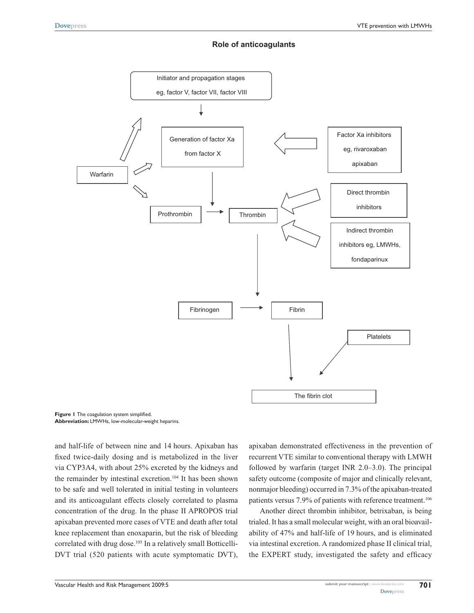### **Role of anticoagulants**



**Figure 1** The coagulation system simplified. **Abbreviation:** LMWHs, low-molecular-weight heparins.

and half-life of between nine and 14 hours. Apixaban has fixed twice-daily dosing and is metabolized in the liver via CYP3A4, with about 25% excreted by the kidneys and the remainder by intestinal excretion.<sup>104</sup> It has been shown to be safe and well tolerated in initial testing in volunteers and its anticoagulant effects closely correlated to plasma concentration of the drug. In the phase II APROPOS trial apixaban prevented more cases of VTE and death after total knee replacement than enoxaparin, but the risk of bleeding correlated with drug dose.<sup>105</sup> In a relatively small Botticelli-DVT trial (520 patients with acute symptomatic DVT),

apixaban demonstrated effectiveness in the prevention of recurrent VTE similar to conventional therapy with LMWH followed by warfarin (target INR 2.0–3.0). The principal safety outcome (composite of major and clinically relevant, nonmajor bleeding) occurred in 7.3% of the apixaban-treated patients versus 7.9% of patients with reference treatment.<sup>106</sup>

Another direct thrombin inhibitor, betrixaban, is being trialed. It has a small molecular weight, with an oral bioavailability of 47% and half-life of 19 hours, and is eliminated via intestinal excretion. A randomized phase II clinical trial, the EXPERT study, investigated the safety and efficacy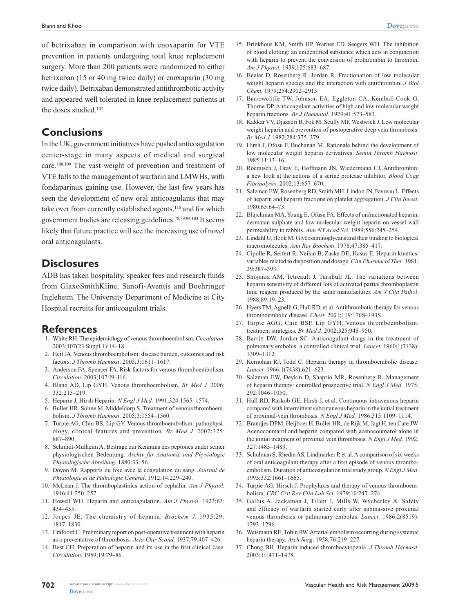of betrixaban in comparison with enoxaparin for VTE prevention in patients undergoing total knee replacement surgery. More than 200 patients were randomized to either betrixaban (15 or 40 mg twice daily) or enoxaparin (30 mg twice daily). Betrixaban demonstrated antithrombotic activity and appeared well tolerated in knee replacement patients at the doses studied.<sup>107</sup>

### **Conclusions**

In the UK, government initiatives have pushed anticoagulation center-stage in many aspects of medical and surgical care.108,109 The vast weight of prevention and treatment of VTE falls to the management of warfarin and LMWHs, with fondaparinux gaining use. However, the last few years has seen the development of new oral anticoagulants that may take over from currently established agents,<sup>110</sup> and for which government bodies are releasing guidelines.78,79,94,103 It seems likely that future practice will see the increasing use of novel oral anticoagulants.

# **Disclosures**

ADB has taken hospitality, speaker fees and research funds from GlaxoSmithKline, Sanofi-Aventis and Boehringer Ingleheim. The University Department of Medicine at City Hospital recruits for anticoagulant trials.

#### **References**

- 1. White RH. The epidemiology of venous thromboembolism. *Circulation*. 2003;107(23 Suppl 1):14–18.
- 2. Heit JA. Venous thromboembolism: disease burden, outcomes and risk factors. *J Thromb Haemost*. 2005;3:1611–1617.
- 3. Anderson FA, Spencer FA. Risk factors for venous thromboembolism. *Circulation*. 2003;107:I9–I16.
- 4. Blann AD, Lip GYH. Venous thromboembolism, *Br Med J.* 2006; 332:215–219.
- 5. Heparin J, Hirsh Heparin. *N Engl J Med.* 1991;324:1565–1574.
- 6. Buller HR, Sohne M, Middeldorp S. Treatment of venous thromboembolism. *J Thromb Haemost*. 2005;3:1554–1560.
- 7. Turpie AG, Chin BS, Lip GY. Venous thromboembolism: pathophysiology, clinical features and prevention. *Br Med J.* 2002;325: 887–890.
- 8. Schmidt-Mulheim A. Beitrage zur Kenntnis des peptones under seiner physiologischen Bedeutung. *Archiv fur Anatomie und Physiologie Physiologische Abteilung*. 1880:33–56.
- 9. Doyon M. Rapports du foie avec la coagulation du sang. *Journal de Physiologie et de Pathologie General*. 1912;14:229–240.
- 10. McLean J. The thromboplastinics action of cephalin. *Am J Physiol.* 1916;41:250–257.
- 11. Howell WH. Heparin and anticoagulation. *Am J Physiol.* 1923;63: 434–435.
- 12. Jorpes JE. The chemistry of heparin. *Biochem J.* 1935;29: 1817–1830.
- 13. Crafoord C. Preliminary report on post-operative treatment with heparin as a preventative of thrombosis. *Acta Chir Scand*. 1937;79:407–426.
- 14. Best CH. Preparation of heparin and its use in the first clinical case. *Circulation*. 1959;19:79–86.
- 15. Brinkhous KM, Smith HP, Warner ED, Seegers WH. The inhibition of blood clotting: an unidentified substance which acts in conjunction with heparin to prevent the conversion of prothrombin to thrombin. *Am J Physiol.* 1939;125:683–687.
- 16. Beeler D, Rosenberg R, Jordan R. Fractionation of low molecular weight heparin species and the interaction with antithrombin. *J Biol Chem*. 1979;254:2902–2913.
- 17. Barrowcliffe TW, Johnson EA, Eggleton CA, Kemball-Cook G, Thorne DP. Anticoagulant activities of high and low molecular weight heparin fractions. *Br J Haematol*. 1979;41:573–583.
- 18. Kakkar VV, Djazaeri B, Fok M, Scully MF, Westwick J. Low molecular weight heparin and prevention of postoperative deep vein thrombosis. *Br Med J.* 1982;284:375–379.
- 19. Hirsh J, Ofosu F, Buchanan M. Rationale behind the development of low molecular weight heparin derivatives. *Semin Thromb Haemost*. 1985;11:13–16.
- 20. Roemisch J, Gray E, Hoffmann JN, Wiedermann CJ. Antithrombin: a new look at the actions of a serine protease inhibitor. *Blood Coag Fibrinolysis*. 2002;13:657–670.
- 21. Salzman EW, Rosenberg RD, Smith MH, Lindon JN, Favreau L. Effects of heparin and heparin fractions on platelet aggregation. *J Clin Invest*. 1980;65:64–73.
- 22. Blajchman MA, Young E, Ofusu FA. Effects of unfractionated heparin, dermatan sulphate and low molecular weight heparin on vessel wall permeability in rabbits. *Ann NY Acad Sci*. 1989;556:245–254.
- 23. Lindahl U, Hook M. Glycosaminoglycans and their binding to biological macromolecules. *Ann Rev Biochem*. 1978;47:385–417.
- 24. Cipolle R, Seifert R, Neilan B, Zaske DE, Hasus E. Heparin kinetics: variables related to disposition and dosage. *Clin Pharmacol Ther*. 1981; 29:387–393.
- 25. Shojania AM, Tetreault J, Turnbull JL. The variations between heparin sensitivity of different lots of activated partial thromboplastin time reagent produced by the same manufacturer. *Am J Clin Pathol*. 1988;89:19–23.
- 26. Hyers TM, Agnelli G, Hull RD, et al. Antithrombotic therapy for venous thromboembolic disease. *Chest*. 2001;119:176S–193S.
- 27. Turpie AGG, Chin BSP, Lip GYH. Venous thromboembolism: treatment strategies. *Br Med J*. 2002;325:948–950.
- 28. Barritt DW, Jordan SC. Anticoagulant drugs in the treatment of pulmonary embolus: a controlled clinical trial. *Lancet*. 1960;1(7138): 1309–1312.
- 29. Kernohan RJ, Todd C. Heparin therapy in thromboembolic disease. *Lancet*. 1966;1(7438):621–623.
- 30. Salzman EW, Deykin D, Shaprio MR, Rosenberg R. Management of heparin therapy: controlled prospective trial. *N Engl J Med.* 1975; 292:1046–1050.
- 31. Hull RD, Raskob GE, Hirsh J, et al. Continuous intravenous heparin compared with intermittent subcutaneous heparin in the initial treatment of proximal-vein thrombosis. *N Engl J Med.* 1986;315:1109–1114.
- 32. Brandjes DPM, Heijboer H, Buller HR, de Rijk M, Jagt H, ten Cate JW. Acenocoumarol and heparin compared with acenocoumarol alone in the initial treatment of proximal vein thrombosis. *N Engl J Med.* 1992; 327:1485–1489.
- 33. Schulman S, Rhedin AS, Lindmarker P, et al. A comparison of six weeks of oral anticoagulant therapy after a first episode of venous thromboembolism. Duration of anticoagulation trial study group. *N Engl J Med.* 1995;332:1661–1665.
- 34. Turpie AG, Hirsch J. Prophylaxis and therapy of venous thromboembolism. *CRC Crit Rev Clin Lab Sci*. 1979;10:247–274.
- 35. Gallus A, Jackaman J, Tillett J, Mills W, Wycherley A. Safety and efficacy of warfarin started early after submassive proximal venous thrombosis or pulmonary embolus. *Lancet*. 1986;2(8519): 1293–1296.
- 36. Weismann RE, Tobin RW. Arterial embolism occurring during systemic heparin therapy. *Arch Surg*. 1958;76:219–227.
- 37. Chong BH. Heparin induced thrombocytopenia. *J Thromb Haemost.* 2003;1:1471–1478.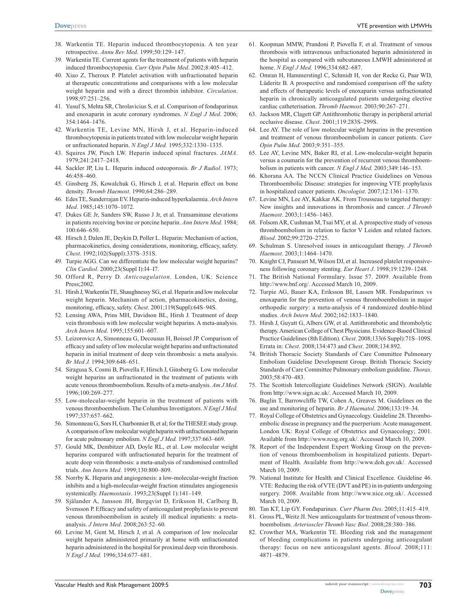- 38. Warkentin TE. Heparin induced thrombocytopenia. A ten year retrospective. *Annu Rev Med*. 1999;50:129–147.
- 39. Warkentin TE. Current agents for the treatment of patients with heparin induced thrombocytopenia. *Curr Opin Pulm Med*. 2002;8:405–412.
- 40. Xiao Z, Theroux P. Platelet activation with unfractionated heparin at therapeutic concentrations and comparisons with a low molecular weight heparin and with a direct thrombin inhibitor. *Circulation*. 1998;97:251–256.
- 41. Yusuf S, Mehta SR, Chrolavicius S, et al. Comparison of fondaparinux and enoxaparin in acute coronary syndromes. *N Engl J Med*. 2006; 354:1464–1476.
- 42. Warkentin TE, Levine MN, Hirsh J, et al. Heparin-induced thrombocytopenia in patients treated with low molecular weight heparin or unfractionated heparin. *N Engl J Med.* 1995;332:1330–1335.
- 43. Squires JW, Pinch LW. Heparin induced spinal fractures. *JAMA*. 1979;241:2417–2418.
- 44. Sackler JP, Liu L. Heparin induced osteoporosis. *Br J Radiol*. 1973; 46:458–460.
- 45. Ginsberg JS, Kowalchuk G, Hirsch J, et al. Heparin effect on bone density. *Thromb Haemost*. 1990;64:286–289.
- 46. Edes TE, Sunderrajan EV. Heparin-induced hyperkalaemia. *Arch Intern Med*. 1985;145:1070–1072.
- 47. Dukes GE Jr, Sanders SW, Russo J Jr, et al. Transaminase elevations in patients receiving bovine or porcine heparin. *Ann Intern Med*. 1984; 100:646–650.
- 48. Hirsch J, Dalen JE, Deykin D, Poller L. Heparin: Mechanism of action, pharmacokinetics, dosing considerations, monitoring, efficacy, safety. *Chest*. 1992;102(Suppl):337S–351S.
- 49. Turpie AGG. Can we differentiate the low molecular weight heparins? *Clin Cardiol*. 2000;23(Suppl I):I4–I7.
- 50. Offord R, Perry D. *Anticoagulation*. London, UK: Science Press;2002.
- 51. Hirsh J, Warkentin TE, Shaughnessy SG, et al. Heparin and low molecular weight heparin. Mechanism of action, pharmacokinetics, dosing, monitoring, efficacy, safety. *Chest*. 2001;119(Suppl):64S–94S.
- 52. Lensing AWA, Prins MH, Davidson BL, Hirsh J. Treatment of deep vein thrombosis with low molecular weight heparins. A meta-analysis. *Arch Intern Med*. 1995;155:601–607.
- 53. Leizorovicz A, Simonneau G, Decousus H, Boissel JP. Comparison of efficacy and safety of low molecular weight heparins and unfractionated heparin in initial treatment of deep vein thrombosis: a meta analysis. *Br Med J.* 1994;309:648–651.
- 54. Siragusa S, Cosmi B, Piovella F, Hirsch J, Ginsberg G. Low molecular weight heparins an unfractionated in the treatment of patients with acute venous thromboembolism. Results of a meta-analysis. *Am J Med*. 1996;100:269–277.
- 55. Low-molecular-weight heparin in the treatment of patients with venous thromboembolism. The Columbus Investigators. *N Engl J Med.* 1997;337:657–662.
- 56. Simonneau G, Sors H, Charbonnier B, et al; for the THESEE study group. A comparison of low molecular weight heparin with unfractionated heparin for acute pulmonary embolism. *N Engl J Med.* 1997;337:663–669.
- 57. Gould MK, Dembitzer AD, Doyle RL, et al. Low molecular weight heparins compared with unfractionated heparin for the treatment of acute deep vein thrombosis: a meta-analysis of randomised controlled trials. *Ann Intern Med*. 1999;130:800–809.
- 58. Norrby K. Heparin and angiogenesis: a low-molecular-weight fraction inhibits and a high-molecular-weight fraction stimulates angiogenesis systemically. *Haemostasis*. 1993;23(Suppl 1):141–149.
- 59. Själander A, Jansson JH, Bergqvist D, Eriksson H, Carlberg B, Svensson P. Efficacy and safety of anticoagulant prophylaxis to prevent venous thromboembolism in acutely ill medical inpatients: a metaanalysis. *J Intern Med*. 2008;263:52–60.
- 60. Levine M, Gent M, Hirsch J, et al. A comparison of low molecular weight heparin administered primarily at home with unfractionated heparin administered in the hospital for proximal deep vein thrombosis. *N Engl J Med.* 1996;334:677–681.
- 61. Koopman MMW, Prandoni P, Piovella F, et al. Treatment of venous thrombosis with intravenous unfractionated heparin administered in the hospital as compared with subcutaneous LMWH administered at home. *N Engl J Med.* 1996;334:682–687.
- 62. Omran H, Hammerstingl C, Schmidt H, von der Recke G, Paar WD, Lüderitz B. A prospective and randomised comparison off the safety and effects of therapeutic levels of enoxaparin versus unfractionated heparin in chronically anticoagulated patients undergoing elective cardiac catheterisation. *Thromb Haemost*. 2003;90:267–271.
- 63. Jackson MR, Clagett GP. Antithrombotic therapy in peripheral arterial occlusive disease. *Chest*. 2001;119:283S–299S.
- 64. Lee AY. The role of low molecular weight heparins in the prevention and treatment of venous thromboembolism in cancer patients. *Curr Opin Pulm Med*. 2003;9:351–355.
- 65. Lee AY, Levine MN, Baker RI, et al. Low-molecular-weight heparin versus a coumarin for the prevention of recurrent venous thromboembolism in patients with cancer. *N Engl J Med*. 2003;349:146–153.
- 66. Khorana AA. The NCCN Clinical Practice Guidelines on Venous Thromboembolic Disease: strategies for improving VTE prophylaxis in hospitalized cancer patients. *Oncologist*. 2007;12:1361–1370.
- 67. Levine MN, Lee AY, Kakkar AK. From Trousseau to targeted therapy: New insights and innovations in thrombosis and cancer. *J Thromb Haemost*. 2003;1:1456–1463.
- 68. Folsom AR, Cushman M, Tsai MY, et al. A prospective study of venous thromboembolism in relation to factor V Leiden and related factors. *Blood*. 2002;99:2720–2725.
- 69. Schulman S. Unresolved issues in anticoagulant therapy. *J Thromb Haemost*. 2003;1:1464–1470.
- 70. Knight CJ, Panseart M, Wilson DJ, et al. Increased platelet responsiveness following coronary stenting. *Eur Heart J*. 1998;19:1239–1248.
- 71. The British National Formulary. Issue 57. 2009. Available from http://www.bnf.org/. Accessed March 10, 2009.
- 72. Turpie AG, Bauer KA, Eriksson BI, Lassen MR. Fondaparinux vs enoxaparin for the prevention of venous thromboembolism in major orthopedic surgery: a meta-analysis of 4 randomized double-blind studies. *Arch Intern Med*. 2002;162:1833–1840.
- 73. Hirsh J, Guyatt G, Albers GW, et al. Antithrombotic and thrombolytic therapy. American College of Chest Physicians. Evidence-Based Clinical Practice Guidelines (8th Edition). *Chest*. 2008;133(6 Suppl):71S–109S. Errata in: *Chest*. 2008;134:473 and *Chest*. 2008;134:892.
- 74. British Thoracic Society Standards of Care Committee Pulmonary Embolism Guideline Development Group. British Thoracic Society Standards of Care Committee Pulmonary embolism guideline. *Thorax*. 2003;58:470–483.
- 75. The Scottish Intercollegiate Guidelines Network (SIGN). Available from http://www.sign.ac.uk/. Accessed March 10, 2009.
- 76. Baglin T, Barrowcliffe TW, Cohen A, Greaves M. Guidelines on the use and monitoring of heparin. *Br J Haematol*. 2006;133:19–34.
- 77. Royal College of Obstetrics and Gynaecology. Guideline 28. Thromboembolic disease in pregnancy and the puerperium: Acute management. London UK: Royal College of Obstetrics and Gynaecology; 2001. Available from http://www.rcog.org.uk/. Accessed March 10, 2009.
- 78. Report of the Independent Expert Working Group on the prevention of venous thromboembolism in hospitalized patients. Department of Health. Available from http://www.doh.gov.uk/. Accessed March 10, 2009.
- 79. National Institute for Health and Clinical Excellence. Guideline 46. VTE: Reducing the risk of VTE (DVT and PE) in in-patients undergoing surgery. 2008. Available from http://www.nice.org.uk/. Accessed March 10, 2009.
- 80. Tan KT, Lip GY. Fondaparinux. *Curr Pharm Des*. 2005;11:415–419.
- 81. Gross PL, Weitz JI. New anticoagulants for treatment of venous thromboembolism. *Arterioscler Thromb Vasc Biol*. 2008;28:380–386.
- 82. Crowther MA, Warkentin TE. Bleeding risk and the management of bleeding complications in patients undergoing anticoagulant therapy: focus on new anticoagulant agents. *Blood*. 2008;111: 4871–4879.